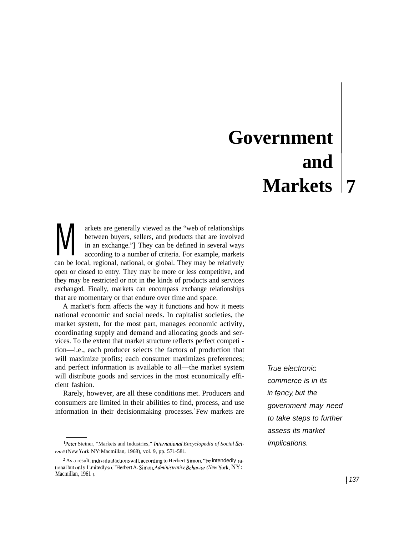# **Government and Markets 7**

 $\prod_{\substack{\text{in }a}}$ arkets are generally viewed as the "web of relationships between buyers, sellers, and products that are involved in an exchange."] They can be defined in several ways according to a number of criteria. For example, markets can be local, regional, national, or global. They may be relatively open or closed to entry. They may be more or less competitive, and they may be restricted or not in the kinds of products and services exchanged. Finally, markets can encompass exchange relationships that are momentary or that endure over time and space.

A market's form affects the way it functions and how it meets national economic and social needs. In capitalist societies, the market system, for the most part, manages economic activity, coordinating supply and demand and allocating goods and services. To the extent that market structure reflects perfect competi tion—i.e., each producer selects the factors of production that will maximize profits; each consumer maximizes preferences; and perfect information is available to all—the market system will distribute goods and services in the most economically efficient fashion.

Rarely, however, are all these conditions met. Producers and consumers are limited in their abilities to find, process, and use information in their decisionmaking processes.<sup>2</sup>Few markets are True electronic commerce is in its in fancy, but the government may need to take steps to further assess its market implications.

<sup>&</sup>lt;sup>1</sup>Peter Steiner, "Markets and Industries," International Encyclopedia of Social Sci*en( e* (New York, NY: Macmillan, 1968), vol. 9, pp. 571-581.

 $2$  As a result, individual actions will, according to Herbert Simon, "be intendedly rational but onl y I imitedly so." Herbert A. Simon, *Administrative Behavior (New York, NY*: Macmillan, 1961<sup>)</sup>.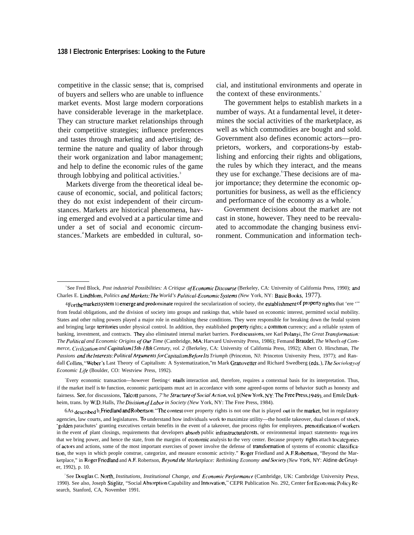competitive in the classic sense; that is, comprised of buyers and sellers who are unable to influence market events. Most large modern corporations have considerable leverage in the marketplace. They can structure market relationships through their competitive strategies; influence preferences and tastes through marketing and advertising; determine the nature and quality of labor through their work organization and labor management; and help to define the economic rules of the game through lobbying and political activities.<sup>3</sup>

Markets diverge from the theoretical ideal because of economic, social, and political factors; they do not exist independent of their circumstances. Markets are historical phenomena, having emerged and evolved at a particular time and under a set of social and economic circumstances.<sup>4</sup> Markets are embedded in cultural, social, and institutional environments and operate in the context of these environments.<sup>8</sup>

The government helps to establish markets in a number of ways. At a fundamental level, it determines the social activities of the marketplace, as well as which commodities are bought and sold. Government also defines economic actors—proprietors, workers, and corporations-by establishing and enforcing their rights and obligations, the rules by which they interact, and the means they use for exchange. These decisions are of major importance; they determine the economic opportunities for business, as well as the efficiency and performance of the economy as a whole.<sup>7</sup>

Government decisions about the market are not cast in stone, however. They need to be reevaluated to accommodate the changing business environment. Communication and information tech-

<sup>s</sup>Every economic transaction—however fleeting< ntails interaction and, therefore, requires a contextual basis for its interpretation. Thus, if the market itself is to function, economic participants must act in accordance with some agreed-upon norms of behavior such as honesty and fairness. See, for discussions, Talcott parsons, *7'he Slrucfure oj"Stjcia/Acfion,* **w)]. ] (New York, Ny: me Free press,** 1949), and Enli]e Durk. heim, trans. by W.D. Halls, *The Division of Labor in Society (New York, NY: The Free Press, 1984)*.

6As described b<sub>y</sub> Friedland and Robertson: "The contest over property rights is not one that is played out in the market, but in regulatory agencies, law courts, and legislatures. To understand how individuals work to maximize utility—the hostile takeover, dual classes of stock, 'golden parachutes' granting executives certain benefits in the event of a takeover, due process rights for employees, prenotification of workers in the event of plant closings, requirements that developers absorb public infrastructural costs, or environmental impact statements- requ ires that we bring power, and hence the state, from the margins of ecommlic analysis 10 the very center. Because property rights attach to categories of actors and actions, some of the most important exercises of power involve the defense of transformation of systems of economic classification, the ways in which people construe, categorize, and measure economic activity." Roger Friedland and A.F. Robertson, "Beyond the Marketplace," in Roger Friedland and A.F. Robertson, *Beyond the Marketplace: Rethinking Economy and Society (New York, NY: Aldine de Gruyt*er, 1992), p. 10.

<sup>&</sup>lt;sup>3</sup>See Fred Block, *Post industrial Possibilities: A Critique of Economic Discourse* (Berkeley, CA: University of California Press, 1990); and Charles E. Lindblom, Politics and Markets: The World's Political-Economic Systems (New York, NY: Basic Books, 1977).

<sup>4</sup> For the Market system 10 emerge and predominate required the secularization of society, the establishment of property rights that 'ere '" from feudal obligations, and the division of society into groups and rankings that, while based on economic interest, permitted social mobility. States and other ruling powers played a major role in establishing these conditions. They were responsible for breaking down the feudal system and bringing large territories under physical control. In addition, they established property rights; a common currency; and a reliable system of banking, investment, and contracts. They also eliminated internal market barriers. For discussions, see Karl Polanyi, The Great Transformation: *The Politl<al and Economic Origins oj'Our Time* (Cambridge, MA; Harvard University Press, 1986); Femand Braudei, *The Wheels oj Commerce, Cit'i/irarion and Capira/ism 15[h-/8fh Century, vol. 2* (Berkeley, CA: University of California Press, 1992); Albert O. Hirschman, *The Passions and the Interests: Political Arguments for Capitalism Before Its Triumph (Princeton, NJ: Princeton University Press, 1977); and Ran*dall Collins, "Weber's Last Theory of Capitalism: A Systematization,"m Mark Granovetter and Richard Swedberg (eds. ), *7'he Soc/o/ogy of Economic Llje* (Boulder, CO: Westview Press, 1992).

<sup>&</sup>lt;sup>7</sup>See Douglas C. North, *Institutions, Institutional Change, and Economic Performance* (Cambridge, UK: Cambridge University Press, 1990). See also, Joseph Stiglitz, "Social Absorption Capability and Innovation," CEPR Publication No. 292, Center for Economic Policy Research, Stanford, CA, November 1991.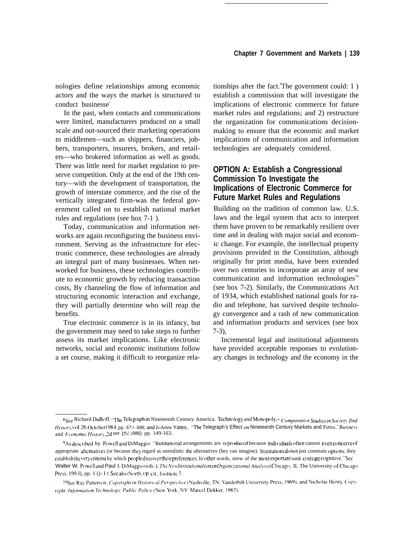nologies define relationships among economic actors and the ways the market is structured to conduct businesse<sup>s</sup>

In the past, when contacts and communications were limited, manufacturers produced on a small scale and out-sourced their marketing operations to middlemen—such as shippers, financiers, jobbers, transporters, insurers, brokers, and retailers—who brokered information as well as goods. There was little need for market regulation to preserve competition. Only at the end of the 19th century—with the development of transportation, the growth of interstate commerce, and the rise of the vertically integrated firm-was the federal government called on to establish national market rules and regulations (see box 7-1 ).

Today, communication and information networks are again reconfiguring the business environment. Serving as the infrastructure for electronic commerce, these technologies are already an integral part of many businesses. When networked for business, these technologies contribute to economic growth by reducing transaction costs, By channeling the flow of information and structuring economic interaction and exchange, they will partially determine who will reap the benefits.

True electronic commerce is in its infancy, but the government may need to take steps to further assess its market implications. Like electronic networks, social and economic institutions follow a set course, making it difficult to reorganize rela-

tionships after the fact. The government could:  $1$ ) establish a commission that will investigate the implications of electronic commerce for future market rules and regulations; and 2) restructure the organization for communications decisionmaking to ensure that the economic and market implications of communication and information technologies are adequately considered.

# **OPTION A: Establish a Congressional Commission To Investigate the Implications of Electronic Commerce for Future Market Rules and Regulations**

Building on the tradition of common law. U.S. laws and the legal system that acts to interpret them have proven to be remarkably resilient over time and in dealing with major social and economic change. For example, the intellectual property provisions provided in the Constitution, although originally for print media, have been extended over two centuries to incorporate an array of new communication and information technologies $10$ (see box 7-2). Similarly, the Communications Act of 1934, which established national goals for radio and telephone, has survived despite technology convergence and a rash of new communication and information products and services (see box 7-3),

Incremental legal and institutional adjustments have provided acceptable responses to evolutionary changes in technology and the economy in the

<sup>8</sup>See Richard DuBoff, "The Telegraph in Nineteenth Century America. Technology and Monopoly," Comparative Studies in Society find *History, vol.* 26, October 1984, pp. 571-586, and JoAnne Yates, "The Telegraph's Effect on Nineteenth Century Markets and Firms," Business and *Economic History*, 2d ser. 15 ( 1986), pp. 149-163.

 $9$ As described by Powell and DiMaggio: "Institutional arrangements are reproduced because individuals often cannot even concelve of appropriate alternatives (or because they regard as unrealistic the alternatives (hey can imagine). Institutions donot just constrain options; they establish the very criteria by which people discover their preferences. In other words, strew of the most important sunk costs are cognitive." See Walter W. Powell and Paul J. DiMaggio(eds.). The New *Institutional ismun Organizational Analysis* (Chicago, IL The University of Chicago Press, 199 I), pp. 1 ()- I I. See also North, op. cit., footnote 7.

<sup>&</sup>lt;sup>10</sup>See Ray Patterson, Copyright in Historical Perspective (Nashville, TN: Vanderbilt University Press, 1969); and Nicholas Henry, Copyright, Information Technology, Public Policy (New York, NY: Marcel Dekker, 1967).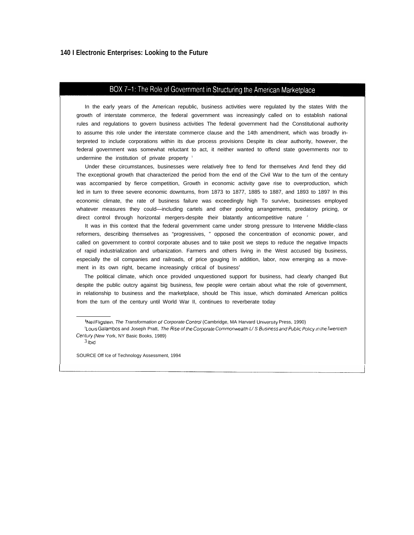## BOX 7-1: The Role of Government in Structuring the American Marketplace

In the early years of the American republic, business activities were regulated by the states With the growth of interstate commerce, the federal government was increasingly called on to establish national rules and regulations to govern business activities The federal government had the Constitutional authority to assume this role under the interstate commerce clause and the 14th amendment, which was broadly interpreted to include corporations within its due process provisions Despite its clear authority, however, the federal government was somewhat reluctant to act, it neither wanted to offend state governments nor to undermine the institution of private property 1

Under these circumstances, businesses were relatively free to fend for themselves And fend they did The exceptional growth that characterized the period from the end of the Civil War to the turn of the century was accompanied by fierce competition, Growth in economic activity gave rise to overproduction, which led in turn to three severe economic downturns, from 1873 to 1877, 1885 to 1887, and 1893 to 1897 In this economic climate, the rate of business failure was exceedingly high To survive, businesses employed whatever measures they could—including cartels and other pooling arrangements, predatory pricing, or direct control through horizontal mergers-despite their blatantly anticompetitive nature <sup>2</sup>

It was in this context that the federal government came under strong pressure to Intervene Middle-class reformers, describing themselves as "progressives, " opposed the concentration of economic power, and called on government to control corporate abuses and to take posit we steps to reduce the negative Impacts of rapid industrialization and urbanization. Farmers and others Iiving in the West accused big business, especially the oil companies and railroads, of price gouging In addition, labor, now emerging as a movement in its own right, became increasingly critical of business<sup>3</sup>

The political climate, which once provided unquestioned support for business, had clearly changed But despite the public outcry against big business, few people were certain about what the role of government, in relationship to business and the marketplace, should be This issue, which dominated American politics from the turn of the century until World War II, continues to reverberate today

 $3$  Ibid

SOURCE Off Ice of Technology Assessment, 1994

<sup>1</sup> Neil Fligstein, The Transformation of Corporate Control (Cambridge, MA Harvard University Press, 1990)

<sup>&</sup>lt;sup>2</sup>Louis Galambos and Joseph Pratt, The Rise of the Corporate Commonwealth L/S Business and Public Policy in the Twentieth Century (New York, NY Basic Books, 1989)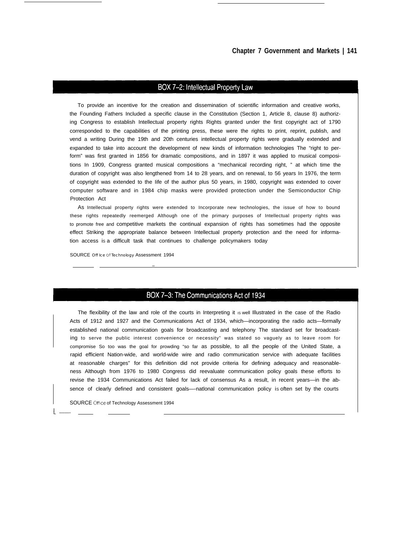# BOX 7-2: Intellectual Property Law

To provide an incentive for the creation and dissemination of scientific information and creative works, the Founding Fathers Included a specific clause in the Constitution (Section 1, Article 8, clause 8) authorizing Congress to establish Intellectual property rights Rights granted under the first copyright act of 1790 corresponded to the capabilities of the printing press, these were the rights to print, reprint, publish, and vend a writing During the 19th and 20th centuries intellectual property rights were gradually extended and expanded to take into account the development of new kinds of information technologies The "right to perform" was first granted in 1856 for dramatic compositions, and in 1897 it was applied to musical compositions In 1909, Congress granted musical compositions a "mechanical recording right, " at which time the duration of copyright was also lengthened from 14 to 28 years, and on renewal, to 56 years In 1976, the term of copyright was extended to the Iife of the author plus 50 years, in 1980, copyright was extended to cover computer software and in 1984 chip masks were provided protection under the Semiconductor Chip Protection Act

As Intellectual property rights were extended to Incorporate new technologies, the issue of how to bound these rights repeatedly reemerged Although one of the primary purposes of Intellectual property rights was to promote free and competitive markets the continual expansion of rights has sometimes had the opposite effect Striking the appropriate balance between Intellectual property protection and the need for information access iS a difficult task that continues to challenge policymakers today

SOURCE Off Ice of Technology Assessment 1994

—

### BOX 7-3: The Communications Act of 1934

The flexibility of the law and role of the courts in Interpreting it is well Illustrated in the case of the Radio Acts of 1912 and 1927 and the Communications Act of 1934, which—incorporating the radio acts—formally established national communication goals for broadcasting and telephony The standard set for broadcasting to serve the public interest convenience or necessity" was stated so vaguely as to leave room for compromise So too was the goal for prowding "so far as possible, to all the people of the United State, a rapid efficient Nation-wide, and world-wide wire and radio communication service with adequate facilities at reasonable charges" for this definition did not provide criteria for defining adequacy and reasonableness Although from 1976 to 1980 Congress did reevaluate communication policy goals these efforts to revise the 1934 Communications Act failed for lack of consensus As a result, in recent years—in the absence of clearly defined and consistent goals—-natlonal communication policy is often set by the courts

SOURCE Office of Technology Assessment 1994

I L ––—-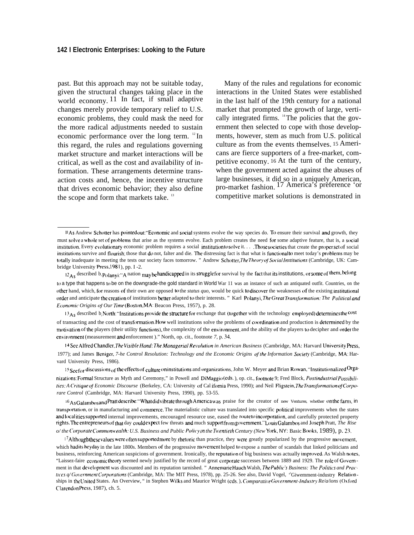#### **142 I Electronic Enterprises: Looking to the Future**

past. But this approach may not be suitable today, given the structural changes taking place in the world economy. 11 In fact, if small adaptive changes merely provide temporary relief to U.S. economic problems, they could mask the need for the more radical adjustments needed to sustain economic performance over the long term.  $12$ In this regard, the rules and regulations governing market structure and market interactions will be critical, as well as the cost and availability of information. These arrangements determine transaction costs and, hence, the incentive structure that drives economic behavior; they also define the scope and form that markets take.<sup>13</sup>

Many of the rules and regulations for economic interactions in the United States were established in the last half of the 19th century for a national market that prompted the growth of large, vertically integrated firms. <sup>14</sup>The policies that the government then selected to cope with those developments, however, stem as much from U.S. political culture as from the events themselves. <sup>15</sup>Americans are fierce supporters of a free-market, competitive economy. <sup>16</sup>At the turn of the century, when the government acted against the abuses of large businesses, it did so in a uniquely American, pro-market fashion. <sup>17</sup> America's preference 'or competitive market solutions is demonstrated in

12 As described b, polanyi: "A nation may be handicapped in its struggle for survival by the fact that its institutions, or some of them, belong

 $13_{\text{As}}$  described b, North: "Institutions provide the structure for exchange that (together with the technology employed) determines the cost of transacting and the cost of transformation. How well institutions solve the problems of coordination and production is determined by the motivation of the players (their utility functions), the complexity of the environment, and the ability of the players to decipher and order the environment (measurement and enforcement )." North, op. cit., footnote 7, p. 34.

*I*<sup>4</sup> See Alfred Chandler, The Visible Hand: The Managerial Revolution in American Business (Cambridge, MA: Harvard University Press, 1977); and James Beniger, *7-he Control Resolution: Technology and the Economic Origins oj'the Information Sotiety* (Cambridge, MA: Harvard University Press, 1986).

15 See for discussions of the effects of culture on institutions and organizations, John W. Meyer and Brian Rowan, "Institutionalized Organizations: Formal Structure as Myth and Ceremony," in Powell and DiMaggio (eds.), op. cit., footnote 9; Fred Block, *Postindustrial Possibilities: A Critique of Economic Discourse* (Berkeley, CA: University of Cal ifornia Press, 1990); and Neil Fligstein, *The Transformation of Corporare Control* (Cambridge, MA: Harvard University Press, 1990), pp. 53-55.

16 As Galambos and Pratt describe: "What did vibrate through America was praise for the creator of new Ventures, whether on the farm, in transportation, or in manufacturing and commerce. The materialistic culture was translated into specific political improvements when the states and local ities supported internal improvements, encouraged resource use, eased the route to incorporation, and carefully protected property rights. The entrepreneurs of that day couldexpect few threats and much support from government." Louis Galambos and Joseph Pratt, *The Rise o/ the Corporate Commonwealth: U.S. Business and Public Policy in the Twentieth Century (New York, NY: Basic Books, 1989), p. 23.* 

 $17$ Although these values were often supported more by rhetoric than practice, they were greatly popularized by the progressive movement, which had its heyday in the late 1800s. Members of the progressive movement helped to expose a number of scandals that linked politicians and business, reinforcing American suspicions of government. Ironically, the reputation of big business was actually improved. As Walsh notes, "Laissez-faire economic theory seemed newly justified by the record of great corporate successes between 1889 and 1929. The role of Government in that development was discounted and its reputation tarnished. " Annemarie Hauch Walsh, *The Public's Business: The Politics and Prac*tices q/ Government Corporations (Cambridge, MA: The MIT Press, 1978), pp. 25-26. See also, David Vogel, "Giwemment-industry Relationships in the United States. An Overview, " in Stephen Wilks and Maurice Wright (eds.), *Comparative Government-Industry Re/a/ions* (Oxford Clarendon Press, 1987), ch. 5.

IIAs Andrew Schotter has pointed out: "Economic and social systems evolve the way species do. To ensure their survival and growth, they must solve a whole set of problems that arise as the systems evolve. Each problem creates the need for some adaptive feature, that is, a social institution. Every evolutionary economic problem requires a social institution to solve it. . . .Those societies that create the proper set of social institutions survive and flourish; those that do not, falter and die. The distressing fact is that what is functional to meet today's problems may be totally inadequate in meeting the tests our society faces tomorrow. " Andrew Schotter, The Theory of Social Institutions (Cambridge, UK: Cambridge University Press, 1981), pp. I -2.

to a type that happens to be on the downgrade-the gold standard in World War 11 was an instance of such an antiquated outfit. Countries, on the other hand, which, for reasons of their own are opposed to the *status quo*, would be quick to discover the weaknesses of the existing institutional order and anticipate the creation of institutions better adapted to their interests." Karl Polanyi, The Great Transformation: The Political and *Economic Origins of Our Time* (Boston, MA: Beacon Press, 1957), p. 28.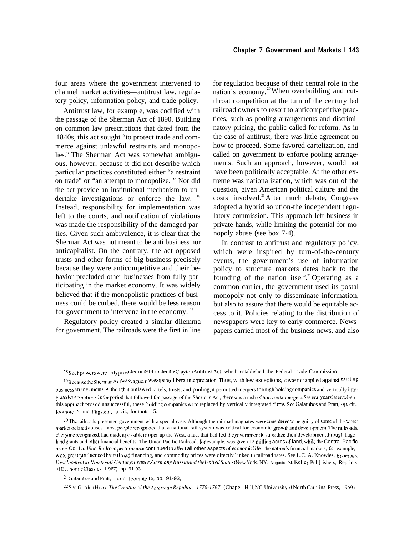four areas where the government intervened to channel market activities—antitrust law, regulatory policy, information policy, and trade policy.

Antitrust law, for example, was codified with the passage of the Sherman Act of 1890. Building on common law prescriptions that dated from the 1840s, this act sought "to protect trade and commerce against unlawful restraints and monopolies." The Sherman Act was somewhat ambiguous. however, because it did not describe which particular practices constituted either "a restraint on trade" or "an attempt to monopolize. " Nor did the act provide an institutional mechanism to undertake investigations or enforce the law. <sup>18</sup> Instead, responsibility for implementation was left to the courts, and notification of violations was made the responsibility of the damaged parties. Given such ambivalence, it is clear that the Sherman Act was not meant to be anti business nor anticapitalist. On the contrary, the act opposed trusts and other forms of big business precisely because they were anticompetitive and their behavior precluded other businesses from fully participating in the market economy. It was widely believed that if the monopolistic practices of business could be curbed, there would be less reason for government to intervene in the economy.<sup>19</sup>

Regulatory policy created a similar dilemma for government. The railroads were the first in line for regulation because of their central role in the nation's economy. $^{20}$ When overbuilding and cutthroat competition at the turn of the century led railroad owners to resort to anticompetitive practices, such as pooling arrangements and discriminatory pricing, the public called for reform. As in the case of antitrust, there was little agreement on how to proceed. Some favored cartelization, and called on government to enforce pooling arrangements. Such an approach, however, would not have been politically acceptable. At the other extreme was nationalization, which was out of the question, given American political culture and the costs involved.<sup>21</sup> After much debate, Congress adopted a hybrid solution-the independent regulatory commission. This approach left business in private hands, while limiting the potential for monopoly abuse (see box 7-4).

In contrast to antitrust and regulatory policy, which were inspired by turn-of-the-century events, the government's use of information policy to structure markets dates back to the founding of the nation itself.<sup>22</sup> Operating as a common carrier, the government used its postal monopoly not only to disseminate information, but also to assure that there would be equitable access to it. Policies relating to the distribution of newspapers were key to early commerce. Newspapers carried most of the business news, and also

<sup>&</sup>lt;sup>18</sup> Such pow ers were on Iy provided in 1914 under the Clayton Antitrust Act, which established the Federal Trade Commission.

 $^{19}$ Because the Sherman Act was vague, it was opentoliberal interpretation. Thus, w ith few exceptions, it was not applied against existing husiness arrangements. Although it outlawed cartels, trusts, and pooling, it permitted mergers through holding companies and vertically integrated corporations. In the period that followed the passage of the Sherman Act, there was a rash of horizontal mergers. Several years later, when this approach proved unsuccessful, these holding companies were replaced by vertically integrated firms. See Galambos and Pratt, op. cit.. footnote16; and Fligstein, op. cit., footnote 15.

<sup>&</sup>lt;sup>20</sup>The railroads presented government with a special case. Although the railroad magnates were considered to be guilty of some of the worst market-related abuses, most people recognized that a national rail system was critical for economic growth and development. The railroads, c\ cry (me recognized, had made it possible to open up the West, a fact that had led the government to subsidize their development through huge land grants and other financial benefits. The Union Pacific Railroad, for example, was given 12 million acres of land, while the Central Pacific receiv Cd 11 million. Railroad performance continued to affect all other aspects of economic life. The nation's financial markets, for example, were greatly influenced by rativoad financing, and commodity prices were directly I inked to railroad rates. See L.C. A. Knowles, Economic Development in Nineteenth Century: France, Germany, Russia and the United States(New York, NY. Augustus M. Kelley Pub] ishers, Reprints of Economic Classics, 1 967), pp. 91-93.

 $2^{1}$  Galambos and Pratt, op. cit., footnote 16, pp. 91-93,

<sup>&</sup>lt;sup>22</sup> See Gordon Hook, The Creation of the American Republic, 1776-1787 (Chapel Hill, NC: University of North Carolina Press, 1959).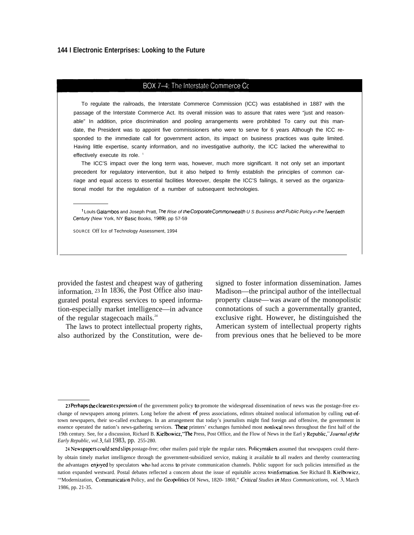## BOX 7-4: The Interstate Commerce Co

To regulate the railroads, the Interstate Commerce Commission (ICC) was established in 1887 with the passage of the Interstate Commerce Act. Its overall mission was to assure that rates were "just and reasonable" In addition, price discrimination and pooling arrangements were prohibited To carry out this mandate, the President was to appoint five commissioners who were to serve for 6 years Although the ICC responded to the immediate call for government action, its impact on business practices was quite limited. Having little expertise, scanty information, and no investigative authority, the ICC lacked the wherewithal to effectively execute its role.

The ICC'S impact over the long term was, however, much more significant. It not only set an important precedent for regulatory intervention, but it also helped to firmly establish the principles of common carriage and equal access to essential facilities Moreover, despite the ICC'S failings, it served as the organizational model for the regulation of a number of subsequent technologies.

<sup>1</sup> LouIs Galambos and Joseph Pratt, The Rise of the Corporate Commonwealth U S Business and Public Policy in the Twentieth Century (New York, NY Basic Books, 1989), pp 57-59

SOURCE Off Ice of Technology Assessment, 1994

provided the fastest and cheapest way of gathering signed to foster information dissemination. James information. 23 In 1836, the Post Office also inau-<br>Madison—the principal author of the intellectual gurated postal express services to speed informa- property clause—was aware of the monopolistic tion-especially market intelligence—in advance connotations of such a governmentally granted, of the regular stagecoach mails.<sup>24</sup> exclusive right. However, he distinguished the The laws to protect intellectual property rights, American system of intellectual property rights also authorized by the Constitution, were de- from previous ones that he believed to be more

<sup>23</sup> Perhaps the clearest expression of the government policy to promote the widespread dissemination of news was the postage-free exchange of newspapers among printers. Long before the advent of press associations, editors obtained nonlocal information by culling out-oftown newspapers, their so-called exchanges. In an arrangement that today's journalists might find foreign and offensive, the government in essence operated the nation's news-gathering services. These printers' exchanges furnished most nonlocal news throughout the first half of the 19th century. See, for a discussion, Richard B. Kielbowicz, "The Press, Post Office, and the Flow of News in the Earl y Republic," Journal of the *Early Republic, vol. 3,* fall 1983, pp. 255-280.

<sup>24</sup> Newspapers could send slips postage-free; other mailers paid triple the regular rates. Policymakers assumed that newspapers could thereby obtain timely market intelligence through the government-subsidized service, making it available to all readers and thereby counteracting the advantages enjoyed by speculators who had access to private communication channels. Public support for such policies intensified as the nation expanded westward. Postal debates reflected a concern about the issue of equitable access toinformation. See Richard B. Kielbowicz, "Modernization, Communication Policy, and the Geopolitics Of News, 1820-1860," *Critical Studies in Mass Communications, vol.* 3, March 1986, pp. 21-35.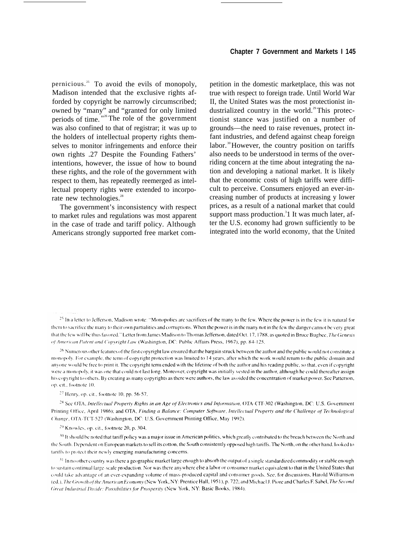pernicious.<sup>25</sup> To avoid the evils of monopoly, Madison intended that the exclusive rights afforded by copyright be narrowly circumscribed; owned by "many" and "granted for only limited periods of time. "<sup>26</sup>The role of the government was also confined to that of registrar; it was up to the holders of intellectual property rights themselves to monitor infringements and enforce their own rights .27 Despite the Founding Fathers' intentions, however, the issue of how to bound these rights, and the role of the government with respect to them, has repeatedly reemerged as intellectual property rights were extended to incorporate new technologies.<sup>28</sup>

The government's inconsistency with respect to market rules and regulations was most apparent in the case of trade and tariff policy. Although Americans strongly supported free market competition in the domestic marketplace, this was not true with respect to foreign trade. Until World War II, the United States was the most protectionist industrialized country in the world. $2^9$  This protectionist stance was justified on a number of grounds—the need to raise revenues, protect infant industries, and defend against cheap foreign labor.<sup>30</sup>However, the country position on tariffs also needs to be understood in terms of the overriding concern at the time about integrating the nation and developing a national market. It is likely that the economic costs of high tariffs were difficult to perceive. Consumers enjoyed an ever-increasing number of products at increasing y lower prices, as a result of a national market that could support mass production. $31$  It was much later, after the U.S. economy had grown sufficiently to be integrated into the world economy, that the United

<sup>26</sup> Numerous other features of the first copyright law ensured that the bargain struck between the author and the public would not constitute a monopoly. For example, the term of copyright protection was limited to 14 years, after which the work would return to the public domain and anyone would be free to print it. The copyright term ended with the lifetime of both the author and his reading public, so that, even if copyright were a monopoly, it was one that could not last long. Moreover, copyright was initially vested in the author, although he could thereafter assign his copyright to others. By creating as many copyrights as there were authors, the law avoided the concentration of market power. See Patterson, op. cit., footnote 10.

<sup>27</sup> Henry, op. cit., footnote 10, pp. 56-57.

<sup>28</sup> See OTA, *Intellectual Property Rights in an Age of Electronics and Information*, OTA-CIT-302 (Washington, DC: U.S. Government Printing Office, April 1986); and OTA, Finding a Balance: Computer Software, Intellectual Property and the Challenge of Technological Change, OTA-TCT-527 (Washington, DC: U.S. Government Printing Office, May 1992).

<sup>29</sup> Knowles, op. cit., footnote 20, p. 304.

 $^{30}$  It should be noted that tariff policy was a major issue in American politics, which greatly contributed to the breach between the North and the South. Dependent on European markets to sell its cotton, the South consistently opposed high tariffs. The North, on the other hand, looked to tariffs to protect their newly emerging manufacturing concerns.

 $31$  In no other country was there a geographic market large enough to absorb the output of a single standardized commodity or stable enough to sustain continual large-scale production. Nor was there anywhere else a labor or consumer market equivalent to that in the United States that could take advantage of an ever-expanding volume of mass-produced capital and consumer goods. See, for discussions, Harold Williamson (ed.), The Growth of the American Economy (New York, NY: Prentice Hall, 1951), p. 722; and Michael J. Piore and Charles F. Sabel, The Second Great Industrial Divide: Possibilities for Prosperity (New York, NY: Basic Books, 1984).

<sup>&</sup>lt;sup>25</sup> In a letter to Jefferson, Madison wrote: "Monopolies are sacrifices of the many to the few. Where the power is in the few it is natural for them to sacrifice the many to their own partialities and corruptions. When the power is in the many not in the few the danger cannot be very great that the few will be thus favored," Letter from James Madison to Thomas Jefferson, dated Oct. 17, 1788, as quoted in Bruce Bugbee. The Genesis of American Patent and Copyright Law (Washington, DC: Public Affairs Press, 1967), pp. 84-125.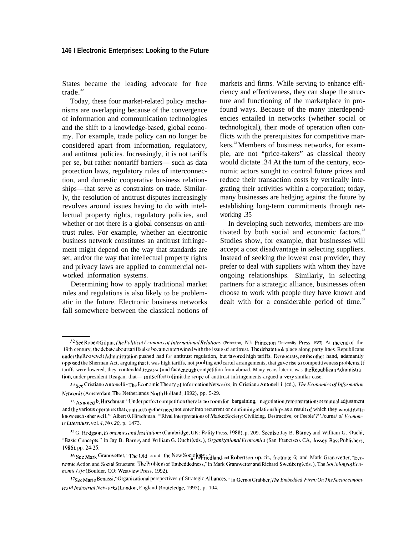#### **146 I Electronic Enterprises: Looking to the Future**

States became the leading advocate for free trade. $32$ 

Today, these four market-related policy mechanisms are overlapping because of the convergence of information and communication technologies and the shift to a knowledge-based, global economy. For example, trade policy can no longer be considered apart from information, regulatory, and antitrust policies. Increasingly, it is not tariffs per se, but rather nontariff barriers— such as data protection laws, regulatory rules of interconnection, and domestic cooperative business relationships—that serve as constraints on trade. Similarly, the resolution of antitrust disputes increasingly revolves around issues having to do with intellectual property rights, regulatory policies, and whether or not there is a global consensus on antitrust rules. For example, whether an electronic business network constitutes an antitrust infringement might depend on the way that standards are set, and/or the way that intellectual property rights and privacy laws are applied to commercial networked information systems.

Determining how to apply traditional market rules and regulations is also likely to be problematic in the future. Electronic business networks fall somewhere between the classical notions of markets and firms. While serving to enhance efficiency and effectiveness, they can shape the structure and functioning of the marketplace in profound ways. Because of the many interdependencies entailed in networks (whether social or technological), their mode of operation often conflicts with the prerequisites for competitive markets.<sup>33</sup> Members of business networks, for example, are not "price-takers" as classical theory would dictate .34 At the turn of the century, economic actors sought to control future prices and reduce their transaction costs by vertically integrating their activities within a corporation; today, many businesses are hedging against the future by establishing long-term commitments through networking .35

In developing such networks, members are motivated by both social and economic factors.<sup>36</sup> Studies show, for example, that businesses will accept a cost disadvantage in selecting suppliers. Instead of seeking the lowest cost provider, they prefer to deal with suppliers with whom they have ongoing relationships. Similarly, in selecting partners for a strategic alliance, businesses often choose to work with people they have known and dealt with for a considerable period of time. $37$ 

<sup>&</sup>lt;sup>32</sup> See Robert Gilpin, The Political Economy of International Relations (Princeton, NJ: Princeton University Press, 1987). At the end of the 19th century, the debate about tariffs also became intertwined with the issue of antitrust. The debate took place along party lines. Republicans under the Roosevelt Administration pushed had for antitrust regulation, but favored high tariffs. Democrats, on the other hand, adamantly opposed the Sherman Act, arguing that it was high tariffs, not pooling and cartel arrangements, that gave rise to competitiveness problems. If tariffs were lowered, they contended trusts w {mid face enough competition from abroad. Many years later it was the Republican Administration, under president Reagan, that— Inits effort to limit the scope of antitrust infringements-argued a very similar case.

<sup>33</sup> See Cristiano Antonelli "The Economic Theory of Information Networks, in Cristiano Antonell i (cd.), The Economics of Information *Networks* (Amsterdam, The Netherlands North Holland, 1992), pp. 5-29.

<sup>34</sup> As noted by Hirschman: "Under perfect competition there is no room for bargaining, negotiation, remonstrations or mutual adjustment and the various operators that contract together need not enter into recurrent or continuing relationships as a result of which they would get to know each other well.'" Albert 0. Hirschman, "Rival Interpretations of Market Society: Civilizing, Destructive, or Feeble'?"./ourna/ o/ *Economi[ Lilerarure, vol. 4, N(). 20,* p. 1473.

<sup>&</sup>lt;sup>35</sup> G. Hodgson, Economics and Institutions (Cambridge, UK: Polity Press, 1988), p. 209. See also Jay B. Barney and William G. Ouchi, "Basic Concepts," in Jay B. Barney and William G. Ouchi (eds.), *Organizational Economics* (San Francisco, CA, Jossey-Bass Publishers, 1986), pp. 2425.

<sup>36</sup> See Mark Granovetter, "The Old and the New Sociology" edland and Robertson, op. cit., footnote 6; and Mark Granovetter, "Economic Action and Social Structure: The Problem of Embeddedness," in Mark Granovetter and Richard Swedberg (eds.), The Sociology of Eco*nomic Life* (Boulder, CO: Westview Press, 1992).

<sup>37</sup> See Mario Benassi, "Organizational perspectives of Strategic Alliances," in Gernot Grabher, The Embedded Firm: On The Socioeconom*ics* of Industrial Networks (London, England Routeledge, 1993), p. 104.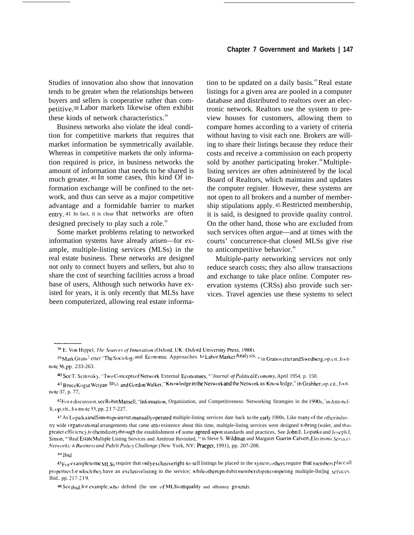Studies of innovation also show that innovation tends to be greater when the relationships between buyers and sellers is cooperative rather than competitive.38 Labor markets likewise often exhibit these kinds of network characteristics.<sup>39</sup>

Business networks also violate the ideal condition for competitive markets that requires that market information be symmetrically available. Whereas in competitive markets the only information required is price, in business networks the amount of information that needs to be shared is much greater. <sup>40</sup> In some cases, this kind Of information exchange will be confined to the network, and thus can serve as a major competitive advantage and a formidable barrier to market entry. 41 In fact, it is clear that networks are often designed precisely to play such a role.<sup>42</sup>

Some market problems relating to networked information systems have already arisen—for example, multiple-listing services (MLSs) in the real estate business. These networks are designed not only to connect buyers and sellers, but also to share the cost of searching facilities across a broad base of users, Although such networks have existed for years, it is only recently that MLSs have been computerized, allowing real estate information to be updated on a daily basis. $43$ Real estate listings for a given area are pooled in a computer database and distributed to realtors over an electronic network. Realtors use the system to preview houses for customers, allowing them to compare homes according to a variety of criteria without having to visit each one. Brokers are willing to share their listings because they reduce their costs and receive a commission on each property sold by another participating broker.<sup>44</sup> Multiplelisting services are often administered by the local Board of Realtors, which maintains and updates the computer register. However, these systems are not open to all brokers and a number of membership stipulations apply. 45 Restricted membership, it is said, is designed to provide quality control. On the other hand, those who are excluded from such services often argue—and at times with the courts' concurrence-that closed MLSs give rise to anticompetitive behavior.<sup>46</sup>

Multiple-party networking services not only reduce search costs; they also allow transactions and exchange to take place online. Computer reservation systems (CRSs) also provide such services. Travel agencies use these systems to select

**u** Jbld

 $^{38}$  E. Von Hippel, *The Sources of Innovation* (Oxford, UK: Oxford University Press, 1988).<br> $^{39}$ Mark Grano<sup>{</sup> etter "The Sociolog<sub>1</sub> and Economic Approaches to Labor Market <sup>Analysis, a</sup> in Granovetter and Swedberg, note 36, pp. 233-263.

<sup>4)</sup> See T. Scito\ sk), '"Two C(mcepts of Network External Ec(momies, *"'Journal oj Pollncal Economy,* April 1954, p. 150.

<sup>4 |</sup> Bruce Kogut Weijian Shali, and Gordon Walker, "Knowledge in the Network and the Network as Know ledge," in Grabher. op. cit., footnote 37, p. 77,

<sup>&</sup>lt;sup>42</sup> For a discussion, see Robin Mansell, "Information, Organization, and Competitiveness: Networking Strategies in the 1990s, "in Antonel-Ii, op. cit., footnote 33, pp. 2 I 7-227.

<sup>43</sup> As Lopatka and Simons point out, manually operated multiple-listing services date back to the early 1900s. Like many of the other industry wide organizational arrangements that came into existence about this time, multiple-listing services were designed tobring (waler, and thus greater efficiency, to the industry through the establishment of some agreed-upon standards and practices, See John E. Lopatka and Joseph J, Simon, "'Real Estate Multiple Listing Services and Antitrust Revisited, " in Steve S. Wildman and Margaret Guerin-Calvert, *Electronic Services ,Net\\orks: A lllt~ines~ and Pub/it Pol\{y Challenge (New* York, NY: Praeger, 1991), pp. 207-208.

 $45$  For example some MLSs require that only exclusive right-to-sell listings be placed in the system, others require that members place all properties for which they have an exclusive listing in the service; while others prohibit membership in competing multiple-llst]ng services. Ibid.. pp. 217-2 I 9,

<sup>46</sup> See ihid, for example, who defend (he use of MLSs on quality and efficiency grounds.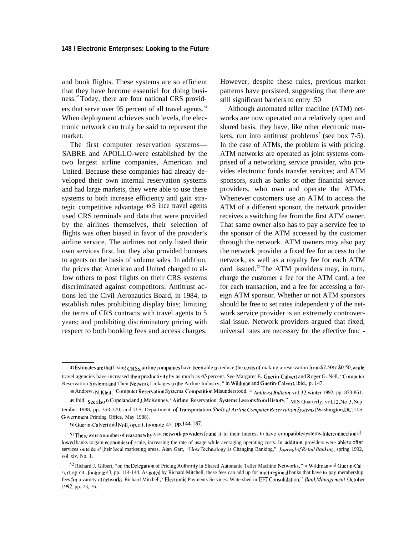and book flights. These systems are so efficient that they have become essential for doing business. 47 Today, there are four national CRS providers that serve over 95 percent of all travel agents.<sup>48</sup> When deployment achieves such levels, the electronic network can truly be said to represent the market.

The first computer reservation systems— SABRE and APOLLO-were established by the two largest airline companies, American and United. Because these companies had already developed their own internal reservation systems and had large markets, they were able to use these systems to both increase efficiency and gain strategic competitive advantage. <sup>49</sup>S ince travel agents used CRS terminals and data that were provided by the airlines themselves, their selection of flights was often biased in favor of the provider's airline service. The airlines not only listed their own services first, but they also provided bonuses to agents on the basis of volume sales. In addition, the prices that American and United charged to allow others to post flights on their CRS systems discriminated against competitors. Antitrust actions led the Civil Aeronautics Board, in 1984, to establish rules prohibiting display bias; limiting the terms of CRS contracts with travel agents to 5 years; and prohibiting discriminatory pricing with respect to both booking fees and access charges.

However, despite these rules, previous market patterns have persisted, suggesting that there are still significant barriers to entry .50

Although automated teller machine (ATM) networks are now operated on a relatively open and shared basis, they have, like other electronic markets, run into antitrust problems<sup> $51$ </sup>(see box 7-5). In the case of ATMs, the problem is with pricing. ATM networks are operated as joint systems comprised of a networking service provider, who provides electronic funds transfer services; and ATM sponsors, such as banks or other financial service providers, who own and operate the ATMs. Whenever customers use an ATM to access the ATM of a different sponsor, the network provider receives a switching fee from the first ATM owner. That same owner also has to pay a service fee to the sponsor of the ATM accessed by the customer through the network. ATM owners may also pay the network provider a fixed fee for access to the network, as well as a royalty fee for each ATM card issued.<sup>52</sup>The ATM providers may, in turn, charge the customer a fee for the ATM card, a fee for each transaction, and a fee for accessing a foreign ATM sponsor. Whether or not ATM sponsors should be free to set rates independent y of the network service provider is an extremely controversial issue. Network providers argued that fixed, universal rates are necessary for the effective func -

<sup>47</sup> Estimates are that Using CRS<sub>S</sub>, airline companies have been able to reduce (he costs of making a reservation from \$7.50 to \$0.50, while travel agencies have increased their productivity by as much as 43 percent. See Margaret E. Guerin-Calvert and Roger G. Nell, "Computer Reservation Systems and Their Network Linkages to lhe Airline Industry, " in Wildrnan and Guerin-Calvert, ibid., p. 147.

<sup>48</sup> Andrew, N. Kleit, "Computer Reservation Systems: Competition Misunderstood, "' Antitrust Bulletin, vol.32, winter 1992, pp. 833-861. 49 Ibid. See also D Copeland and J McKenney, "Airline Reservation Systems: Lessons from History," MIS Quarterly, vol. 12, No. 3, Sep-

tember 1988, pp. 353-370; and U.S. Department of Transportation, Study of Airline Computer Reservation Systems (Washington, DC: U.S. Government Printing Office, May 1988).

<sup>50</sup> Guerin-Calvert and Noll, op. cit, footnote 47, pp. 144-187.

<sup>&</sup>lt;sup>51</sup> There were a number of reasons why ATM network providers found it in their interest to have compatible systems. Interconnection allowed banks to gain economies of scale, increasing the rate of usage while averaging operating costs. In addition, providers were able to offer services outside of [heir local marketing areas. Alan Gart, "How Technology 1s Changing Banking," *Journal of Retail Banking*, spring 1992, vol. xiv, No. 1.

<sup>52</sup> Richard J. Gilbert, "on the Delegation of Pricing Authority in Shared Automatic Teller Machine Networks, "in Wildman and Guerin-Cal-\ert, op. cit., footnote 43, pp. 114-144. As noted by Richard Mitchell, these fees can add up for multiregional banks that have to pay membership fees for a variety of networks. Richard Mitchell, "Electronic Payments Services: Watershed in EFT Consolidation," Bank Management, October 1992, pp. 73, 76.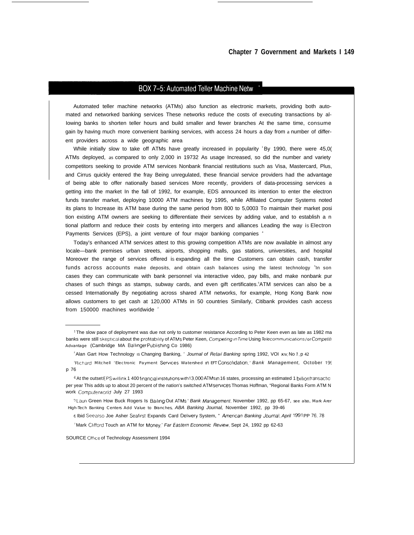### BOX 7-5: Automated Teller Machine Netw

Automated teller machine networks (ATMs) also function as electronic markets, providing both automated and networked banking services These networks reduce the costs of executing transactions by al-Iowing banks to shorten teller hours and build smaller and fewer branches At the same time, consume gain by having much more convenient banking services, with access 24 hours a day from a number of different providers across a wide geographic area

While initially slow to take off ATMs have greatly increased in popularity 'By 1990, there were 45,0( ATMs deployed, as compared to only 2,000 in 19732 As usage Increased, so did the number and variety competitors seeking to provide ATM services Nonbank financial restitutions such as Visa, Mastercard, Plus, and Cirrus quickly entered the fray Being unregulated, these financial service providers had the advantage of being able to offer nationally based services More recently, providers of data-processing services a getting into the market In the fall of 1992, for example, EDS announced its intention to enter the electron funds transfer market, deploying 10000 ATM machines by 1995, while Affiliated Computer Systems noted its plans to Increase its ATM base during the same period from 800 to 5,0003 To maintain their market posi tion existing ATM owners are seeking to differentiate their services by adding value, and to establish a n tional platform and reduce their costs by entering into mergers and alliances Leading the way is Electron Payments Services (EPS), a joint venture of four major banking companies 4

Today's enhanced ATM services attest to this growing competition ATMs are now available in almost any locale—bank premises urban streets, airports, shopping malls, gas stations, universities, and hospital Moreover the range of services offered is expanding all the time Customers can obtain cash, transfer funds across accounts make deposits, and obtain cash balances using the latest technology <sup>s</sup>in son cases they can communicate with bank personnel via interactive video, pay bills, and make nonbank pur chases of such things as stamps, subway cards, and even gift certificates. ATM services can also be a cessed Internationally By negotiating across shared ATM networks, for example, Hong Kong Bank now allows customers to get cash at 120,000 ATMs in 50 countries Similarly, Citibank provides cash access from 150000 machines worldwide 7

6 Ibid See also Joe Asher Seafirst Expands Card Delivery System, " American Banking Journal. April 1991PP 76, 78

<sup>7</sup> Mark Clifford Touch an ATM for Money," Far Eastern Economic Review, Sept 24, 1992 pp 62-63

SOURCE Office of Technology Assessment 1994

<sup>&#</sup>x27; The slow pace of deployment was due not only to customer resistance According to Peter Keen even as late as 1982 ma banks were still skeptical about the profitability of ATMs Peter Keen, Competing in Time Using *Telecommunications /or Competiti* Advantage (Cambridge MA Ballinger Publishing Co 1986)

<sup>&</sup>lt;sup>2</sup> Alan Gart How Technology Is Changing Banking, ' Journal of Retail Banking spring 1992, VOI xiv, No 1, p 42

<sup>&</sup>lt;sup>3</sup>Richard Mitchell 'Electronic Payment Services Watershed in EFT Consolidation, ' Bank Management, October 199 p 76

<sup>4</sup> At the outset EPS will link 1 400 financial institutions with 13,000 ATMs in 16 states, processing an estimated 1 billion transactio per year This adds up to about 20 percent of the nation's switched ATM services Thomas Hoffman, "Regional Banks Form ATM N work Computerworld July 27 1993

<sup>&</sup>gt; Laurl Green How Buck Rogers Is Balllng Out ATMs ' Bank Managemen/, November 1992, pp 65-67, see also, Mark Arer High-Tech Banking Centers Add Value to Branches, ABA Banking Journal, November 1992, pp 39-46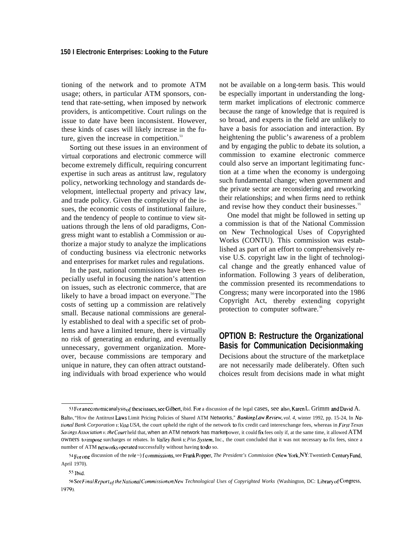tioning of the network and to promote ATM usage; others, in particular ATM sponsors, contend that rate-setting, when imposed by network providers, is anticompetitive. Court rulings on the issue to date have been inconsistent. However, these kinds of cases will likely increase in the future, given the increase in competition. $53$ 

Sorting out these issues in an environment of virtual corporations and electronic commerce will become extremely difficult, requiring concurrent expertise in such areas as antitrust law, regulatory policy, networking technology and standards development, intellectual property and privacy law, and trade policy. Given the complexity of the issues, the economic costs of institutional failure, and the tendency of people to continue to view situations through the lens of old paradigms, Congress might want to establish a Commission or authorize a major study to analyze the implications of conducting business via electronic networks and enterprises for market rules and regulations.

In the past, national commissions have been especially useful in focusing the nation's attention on issues, such as electronic commerce, that are likely to have a broad impact on everyone.<sup>54</sup>The costs of setting up a commission are relatively small. Because national commissions are generally established to deal with a specific set of problems and have a limited tenure, there is virtually no risk of generating an enduring, and eventually unnecessary, government organization. Moreover, because commissions are temporary and unique in nature, they can often attract outstanding individuals with broad experience who would not be available on a long-term basis. This would be especially important in understanding the longterm market implications of electronic commerce because the range of knowledge that is required is so broad, and experts in the field are unlikely to have a basis for association and interaction. By heightening the public's awareness of a problem and by engaging the public to debate its solution, a commission to examine electronic commerce could also serve an important legitimating function at a time when the economy is undergoing such fundamental change; when government and the private sector are reconsidering and reworking their relationships; and when firms need to rethink and revise how they conduct their businesses.<sup>55</sup>

One model that might be followed in setting up a commission is that of the National Commission on New Technological Uses of Copyrighted Works (CONTU). This commission was established as part of an effort to comprehensively revise U.S. copyright law in the light of technological change and the greatly enhanced value of information. Following 3 years of deliberation, the commission presented its recommendations to Congress; many were incorporated into the 1986 Copyright Act, thereby extending copyright protection to computer software.<sup>56</sup>

# **OPTION B: Restructure the Organizational Basis for Communication Decisionmaking**

Decisions about the structure of the marketplace are not necessarily made deliberately. Often such choices result from decisions made in what might

<sup>53</sup> For an economic analysis of these issues, see Gilbert, ibid. For a discussion of the legal cases, see also, Karen L. Grimm and David A.

Balto, "How the Antitrust Laws Limit Pricing Policies of Shared ATM Networks," Banking Law Review, vol. 4, winter 1992, pp. 15-24, In Na-*Itond Bank Corporation ]'. Visa USA,* the court upheld the right of the network to fix credit card interexchange fees, whereas in *Flrsl Texas Savings Association v. the Court* held that, when an ATM network has marke power, it could fix fees only if, at the same time, it allowed ATM owners to impose surcharges or rebates. In *Valley Bank v. P/us System*, Inc., the court concluded that it was not necessary to fix fees, since a number of ATM networks operated successfully without having to do so.

<sup>54</sup> For one discussion of the role ~) f commissions, see Frank Popper, *The President's Commission* (New York, NY: Twentieth Century Fund, April 1970).

<sup>5</sup>S Ibid,

<sup>56</sup> See Final Report of the National Commission on New Technological Uses of Copyrighted Works (Washington, DC: Library of Congress, 1979),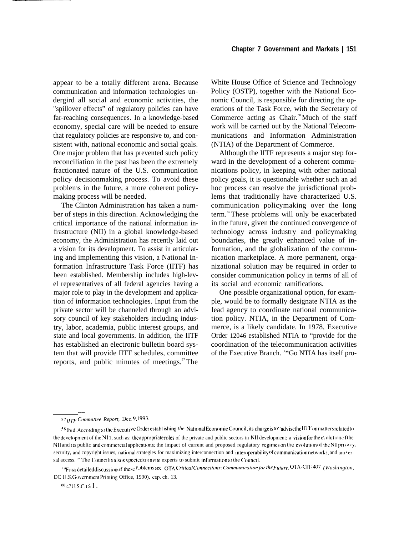appear to be a totally different arena. Because communication and information technologies undergird all social and economic activities, the "spillover effects" of regulatory policies can have far-reaching consequences. In a knowledge-based economy, special care will be needed to ensure that regulatory policies are responsive to, and consistent with, national economic and social goals. One major problem that has prevented such policy reconciliation in the past has been the extremely fractionated nature of the U.S. communication policy decisionmaking process. To avoid these problems in the future, a more coherent policymaking process will be needed.

The Clinton Administration has taken a number of steps in this direction. Acknowledging the critical importance of the national information infrastructure (NII) in a global knowledge-based economy, the Administration has recently laid out a vision for its development. To assist in articulating and implementing this vision, a National Information Infrastructure Task Force (IITF) has been established. Membership includes high-level representatives of all federal agencies having a major role to play in the development and application of information technologies. Input from the private sector will be channeled through an advisory council of key stakeholders including industry, labor, academia, public interest groups, and state and local governments. In addition, the IITF has established an electronic bulletin board system that will provide IITF schedules, committee reports, and public minutes of meetings. $57$ The White House Office of Science and Technology Policy (OSTP), together with the National Economic Council, is responsible for directing the operations of the Task Force, with the Secretary of Commerce acting as Chair.<sup>58</sup>Much of the staff work will be carried out by the National Telecommunications and Information Administration (NTIA) of the Department of Commerce.

Although the IITF represents a major step forward in the development of a coherent communications policy, in keeping with other national policy goals, it is questionable whether such an ad hoc process can resolve the jurisdictional problems that traditionally have characterized U.S. communication policymaking over the long term.<sup>59</sup>These problems will only be exacerbated in the future, given the continued convergence of technology across industry and policymaking boundaries, the greatly enhanced value of information, and the globalization of the communication marketplace. A more permanent, organizational solution may be required in order to consider communication policy in terms of all of its social and economic ramifications.

One possible organizational option, for example, would be to formally designate NTIA as the lead agency to coordinate national communication policy. NTIA, in the Department of Commerce, is a likely candidate. In 1978, Executive Order 12046 established NTIA to "provide for the coordination of the telecommunication activities of the Executive Branch. '\*Go NTIA has itself pro-

# 57 *HTF* Committee Report, Dec. 9,1993.

<sup>58</sup> Ibid. According to the Executive Order establishing the National Economic Council, its charge is to "advise the IITF on matters related to the development of the NI 1, such as: the appropriate roles of the private and public sectors in NII development; a vision for the e\ olution of the NII and its public and commercial applications; the impact of current and proposed regulatory regimes on the evolution of the NII privacy, security, and copyright issues, national strategies for maximizing interconnection and interoperability of communication networks; and universal access. " The Council is also expected to invite experts to submit information to the Council.

<sup>&</sup>lt;sup>59</sup>Fora detailed discussion of these P<sub>=</sub>>blems see OTA Critical Connections: Communication for the Future, OTA-CIT-407 (Washington, DC U.S. Government Printing Office, 1990), esp. ch. 13.

 $6047 U.S.C. 1 S.$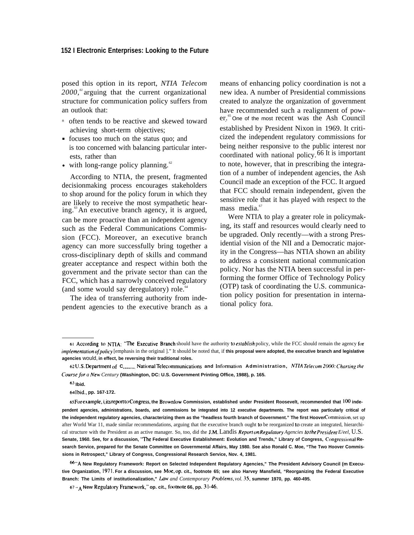#### **152 I Electronic Enterprises: Looking to the Future**

posed this option in its report, *NTIA Telecom 2000,<sup>61</sup>*arguing that the current organizational structure for communication policy suffers from an outlook that:

- m often tends to be reactive and skewed toward achieving short-term objectives;
- focuses too much on the status quo; and is too concerned with balancing particular interests, rather than
- with long-range policy planning.<sup>62</sup>

According to NTIA, the present, fragmented decisionmaking process encourages stakeholders to shop around for the policy forum in which they are likely to receive the most sympathetic hearing.<sup>63</sup>An executive branch agency, it is argued, can be more proactive than an independent agency such as the Federal Communications Commission (FCC). Moreover, an executive branch agency can more successfully bring together a cross-disciplinary depth of skills and command greater acceptance and respect within both the government and the private sector than can the FCC, which has a narrowly conceived regulatory (and some would say deregulatory) role. $64$ 

The idea of transferring authority from independent agencies to the executive branch as a means of enhancing policy coordination is not a new idea. A number of Presidential commissions created to analyze the organization of government have recommended such a realignment of power.<sup>65</sup> One of the most recent was the Ash Council established by President Nixon in 1969. It criticized the independent regulatory commissions for being neither responsive to the public interest nor coordinated with national policy.  $66$  It is important to note, however, that in prescribing the integration of a number of independent agencies, the Ash Council made an exception of the FCC. It argued that FCC should remain independent, given the sensitive role that it has played with respect to the mass media.<sup>67</sup>

Were NTIA to play a greater role in policymaking, its staff and resources would clearly need to be upgraded. Only recently—with a strong Presidential vision of the NII and a Democratic majority in the Congress—has NTIA shown an ability to address a consistent national communication policy. Nor has the NTIA been successful in performing the former Office of Technology Policy (OTP) task of coordinating the U.S. communication policy position for presentation in international policy fora.

**<sup>61</sup> According to NTIA: '.The Executive Branch** should have the authority to eskddid policy, while the FCC should remain the agency for *implementation of policy* [emphasis in the original]." It should be noted that, if this proposal were adopted, the executive branch and legislative **agencies** would, **in effect, be reversing their traditional roles.**

<sup>62</sup> U.S. Department of C<sub>ommerce</sub>, National Telecommunications and Information Administration, *NTIA Telecom 2000: Charting the Course for a New Century (Washington, DC: U.S. Government Printing Office, 1988), p. 165.* 

**<sup>63</sup> Ibid.**

**fJq Ibid., pp. 167-172.**

<sup>65</sup> For example, i its report to Congress, the Brownlow Commission, established under President Roosevelt, recommended that 100 inde**pendent agencies, administrations, boards, and commissions be integrated into 12 executive departments. The report was particularly critical of** the independent regulatory agencies, characterizing them as the "headless fourth branch of Government." The first Hoover Commission. set up after World War 11, made similar recommendations, arguing that the executive branch ought to be reorganized to create an integrated, hierarchical structure with the President as an active manager. So, too, did the J.M. Landis *Report on Regulatory Agencies to the President E/eel*, U.S. Senate, 1960. See, for a discussion, "The Federal Executive Establishment: Evolution and Trends," Library of Congress, Congressional Re**search Service, prepared for the Senate Committee on Governmental Affairs, May 1980. See also Ronald C. Moe, "The Two Hoover Commissions in Retrospect," Library of Congress, Congressional Research Service, Nov. 4, 1981.**

**M "A New Regulatory Framework: Report on Selected Independent Regulatory Agencies," The President Advisory Council (m Executive Organization, 1971. For a discussion, see M(w, op. cit., footnote 65; see also Harvey Mansfield, "Reorganizing the Federal Executive Branch: The Limits of institutionalization," Luw** *and Contemporary Prob/ems, vol. 35,* **summer 1970, pp. 460-495.**

<sup>67 ··</sup> A New Regulatory Framework," op. cit., footnote 66, pp. 31-46.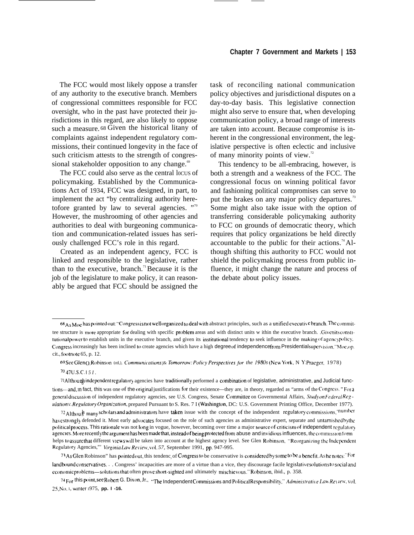The FCC would most likely oppose a transfer of any authority to the executive branch. Members of congressional committees responsible for FCC oversight, who in the past have protected their jurisdictions in this regard, are also likely to oppose such a measure. <sup>68</sup>Given the historical litany of complaints against independent regulatory commissions, their continued longevity in the face of such criticism attests to the strength of congressional stakeholder opposition to any change.<sup>69</sup>

The FCC could also serve as the central locus of policymaking. Established by the Communications Act of 1934, FCC was designed, in part, to implement the act "by centralizing authority heretofore granted by law to several agencies. "70 However, the mushrooming of other agencies and authorities to deal with burgeoning communication and communication-related issues has seriously challenged FCC's role in this regard.

Created as an independent agency, FCC is linked and responsible to the legislative, rather than to the executive, branch.<sup> $n$ </sup> Because it is the job of the legislature to make policy, it can reasonably be argued that FCC should be assigned the

task of reconciling national communication policy objectives and jurisdictional disputes on a day-to-day basis. This legislative connection might also serve to ensure that, when developing communication policy, a broad range of interests are taken into account. Because compromise is inherent in the congressional environment, the legislative perspective is often eclectic and inclusive of many minority points of view. $72$ 

This tendency to be all-embracing, however, is both a strength and a weakness of the FCC. The congressional focus on winning political favor and fashioning political compromises can serve to put the brakes on any major policy departures.<sup>73</sup> Some might also take issue with the option of transferring considerable policymaking authority to FCC on grounds of democratic theory, which requires that policy organizations be held directly accountable to the public for their actions.<sup>74</sup> Although shifting this authority to FCC would not shield the policymaking process from public influence, it might change the nature and process of the debate about policy issues.

<sup>68</sup> As Moe has pointed out: "Congress is not well organized to deal with abstract principles, such as a unified executive branch. The committee structure is more appropriate for dealing with specific problem areas and with distinct units w ithin the executive branch. .Givenits constitutional power to establish units in the executive branch, and given its institutional tendency to seek influence in the making of agencypolicy, Congress increasingly has been inclined to create agencies which have a high degree of independence from Presidential supervision." Moe, op. cit., footnote 65, p. 12.

<sup>69</sup> See Glen Q, Robinson (ed.), Communications j& *Tomorrow: Policy Perspectives for the 1980s* (New York, N Y: Pracger, 1978)

<sup>1047</sup> U.s.c. I *5 I .*

<sup>71</sup>Althoughindependent regulatory agencies have traditionally performed a combination of legislative, administrative, and Judicial functions-and, in fact, this was one of the original justifications for their existence—they are, in theory, regarded as "arms of the Congress." For a general discussion of independent regulatory agencies, see U.S. Congress, Senate Committee on Governmental Affairs, Study on *Federal Regulationy Regulatory Organization*, prepared Pursuant to S. Res. 7 I (Washington, DC: U.S. Government Printing Office, December 1977).

 $^{72}$ Althou $\frac{h}{2}$  many scholars and administrators have taken issue with the concept of the independent regulatory commissions, "number have strongly defended it. Most early advocates focused on the role of such agencies as administrative expert, separate and untarnished by the political process. This rationale was not long in vogue, however, becoming over time a major source of criticism of independent regulatory agencies. More recently the argument has been made that, instead of being protected from abuse and invidious influences, the commission form helps to assure that different views will be taken into account at the highest agency level. See Glen Robinson, "Reorganizing the Independent Regulatory Agencies,"' Virginia Law Review, vol. 57, September 1991, pp. 947-995.

<sup>73</sup> As Glen Robinson" has pointed out, this tendenc, of Congress to be conservative is considered by some to be a benefit. As he notes: "For landbound conservatives. . . Congress' incapacities are more of a virtue than a vice, they discourage facile legislative solutions to social and economic problems-solutions that often prove short-sighted and ultimately mischievous." Robinson, ibid., p. 358.

<sup>74</sup> For this point, see Robert G. Dixon, Jr., "The Independent Commissions and Political Responsibility," Administrative Law Review, vol. 2s, N(~. 1, w Inter 1975, **pp. I -16.**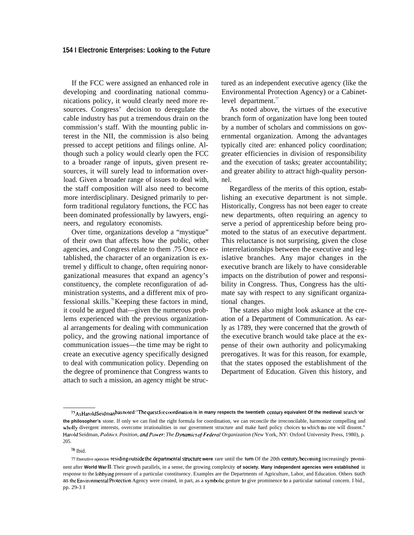If the FCC were assigned an enhanced role in developing and coordinating national communications policy, it would clearly need more resources. Congress' decision to deregulate the cable industry has put a tremendous drain on the commission's staff. With the mounting public interest in the NII, the commission is also being pressed to accept petitions and filings online. Although such a policy would clearly open the FCC to a broader range of inputs, given present resources, it will surely lead to information overload. Given a broader range of issues to deal with, the staff composition will also need to become more interdisciplinary. Designed primarily to perform traditional regulatory functions, the FCC has been dominated professionally by lawyers, engineers, and regulatory economists.

Over time, organizations develop a "mystique" of their own that affects how the public, other agencies, and Congress relate to them .75 Once established, the character of an organization is extremel y difficult to change, often requiring nonorganizational measures that expand an agency's constituency, the complete reconfiguration of administration systems, and a different mix of professional skills.<sup>76</sup>Keeping these factors in mind, it could be argued that—given the numerous problems experienced with the previous organizational arrangements for dealing with communication policy, and the growing national importance of communication issues—the time may be right to create an executive agency specifically designed to deal with communication policy. Depending on the degree of prominence that Congress wants to attach to such a mission, an agency might be structured as an independent executive agency (like the Environmental Protection Agency) or a Cabinetlevel department. $\overline{7}$ 

As noted above, the virtues of the executive branch form of organization have long been touted by a number of scholars and commissions on governmental organization. Among the advantages typically cited are: enhanced policy coordination; greater efficiencies in division of responsibility and the execution of tasks; greater accountability; and greater ability to attract high-quality personnel.

Regardless of the merits of this option, establishing an executive department is not simple. Historically, Congress has not been eager to create new departments, often requiring an agency to serve a period of apprenticeship before being promoted to the status of an executive department. This reluctance is not surprising, given the close interrelationships between the executive and legislative branches. Any major changes in the executive branch are likely to have considerable impacts on the distribution of power and responsibility in Congress. Thus, Congress has the ultimate say with respect to any significant organizational changes.

The states also might look askance at the creation of a Department of Communication. As early as 1789, they were concerned that the growth of the executive branch would take place at the expense of their own authority and policymaking prerogatives. It was for this reason, for example, that the states opposed the establishment of the Department of Education. Given this history, and

<sup>75</sup> As Harold Seidmanhas noted: "The quest for coordination is in many respects the twentieth century equivalent Of the medieval search 'or

**the philosopher's** stone. If only we can find the right formula for coordination, we can reconcile the irreconcilable, harmonize compelling and wholly divergent interests, overcome irrationalities in our government structure and make hard policy choices to which no one will dissent." Harold Seidman, *Po/ilics, Position, and Power: The Dynumics oj'Federu/ Organization (New* York, NY: Oxford University Press, 1980), p. 205.

<sup>76</sup> Ibid.

<sup>77</sup> Executive agencies *residingoutside the departmental structure* were rare until the turn Of the 20th century, becoming increasingly prominent after **World War 11.** Their growth parallels, in a sense, the growing complexity **of society. Many independent agencies were established** in response to the lobbying pressure of a particular constituency. Examples are the Departments of Agriculture, Labor, and Education. Others such as the Environmental Protection Agency were created, in part, as a symbolic gesture to give prominence to a particular national concern. I bid., pp. 29-3 ]